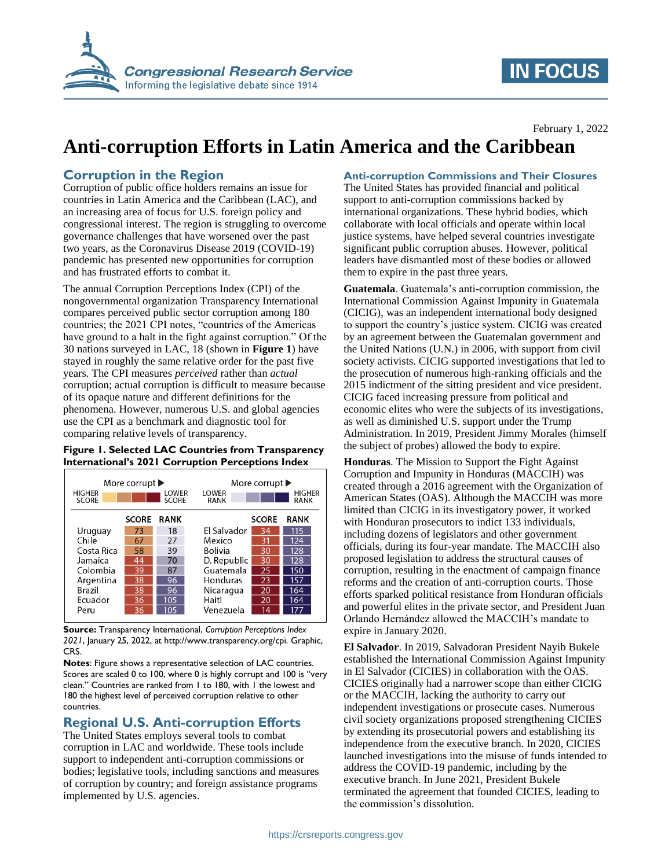

## **IN FOCUS**

February 1, 2022

# **Anti-corruption Efforts in Latin America and the Caribbean**

## **Corruption in the Region**

Corruption of public office holders remains an issue for countries in Latin America and the Caribbean (LAC), and an increasing area of focus for U.S. foreign policy and congressional interest. The region is struggling to overcome governance challenges that have worsened over the past two years, as the Coronavirus Disease 2019 (COVID-19) pandemic has presented new opportunities for corruption and has frustrated efforts to combat it.

The annual Corruption Perceptions Index (CPI) of the nongovernmental organization Transparency International compares perceived public sector corruption among 180 countries; the 2021 CPI notes, "countries of the Americas have ground to a halt in the fight against corruption." Of the 30 nations surveyed in LAC, 18 (shown in **[Figure 1](#page-0-0)**) have stayed in roughly the same relative order for the past five years. The CPI measures *perceived* rather than *actual* corruption; actual corruption is difficult to measure because of its opaque nature and different definitions for the phenomena. However, numerous U.S. and global agencies use the CPI as a benchmark and diagnostic tool for comparing relative levels of transparency.

#### <span id="page-0-0"></span>**Figure 1. Selected LAC Countries from Transparency International's 2021 Corruption Perceptions Index**

| <b>HIGHER</b><br><b>SCORE</b> | More corrupt $\blacktriangleright$ | LOWER<br><b>SCORE</b> | LOWER<br>RANK | More corrupt $\blacktriangleright$ | <b>HIGHER</b><br><b>RANK</b> |
|-------------------------------|------------------------------------|-----------------------|---------------|------------------------------------|------------------------------|
|                               | <b>SCORE</b>                       | <b>RANK</b>           |               | <b>SCORE</b>                       | <b>RANK</b>                  |
| Uruguay                       | 73                                 | 18                    | El Salvador   | 34                                 | 115                          |
| Chile                         | 67                                 | 27                    | Mexico        | 31                                 | 124                          |
| Costa Rica                    | 58                                 | 39                    | Bolivia       | 30                                 | 128                          |
| Jamaica                       | 44                                 | 70                    | D. Republic   | 30                                 | 128                          |
| Colombia                      | 39                                 | 87                    | Guatemala     | 25                                 | 150                          |
| Argentina                     | 38                                 | 96                    | Honduras      | 23                                 | 157                          |
| Brazil                        | 38                                 | 96                    | Nicaragua     | 20                                 | 164                          |
| Ecuador                       | 36                                 | 105                   | Haiti         | 20                                 | 164                          |
| Peru                          | 36                                 | 105                   | Venezuela     | 14                                 |                              |

**Source:** Transparency International, *Corruption Perceptions Index 2021*, January 25, 2022, at http://www.transparency.org/cpi. Graphic, CRS.

**Notes**: Figure shows a representative selection of LAC countries. Scores are scaled 0 to 100, where 0 is highly corrupt and 100 is "very clean." Countries are ranked from 1 to 180, with 1 the lowest and 180 the highest level of perceived corruption relative to other countries.

## **Regional U.S. Anti-corruption Efforts**

The United States employs several tools to combat corruption in LAC and worldwide. These tools include support to independent anti-corruption commissions or bodies; legislative tools, including sanctions and measures of corruption by country; and foreign assistance programs implemented by U.S. agencies.

#### **Anti-corruption Commissions and Their Closures**

The United States has provided financial and political support to anti-corruption commissions backed by international organizations. These hybrid bodies, which collaborate with local officials and operate within local justice systems, have helped several countries investigate significant public corruption abuses. However, political leaders have dismantled most of these bodies or allowed them to expire in the past three years.

**Guatemala**. Guatemala's anti-corruption commission, the International Commission Against Impunity in Guatemala (CICIG), was an independent international body designed to support the country's justice system. CICIG was created by an agreement between the Guatemalan government and the United Nations (U.N.) in 2006, with support from civil society activists. CICIG supported investigations that led to the prosecution of numerous high-ranking officials and the 2015 indictment of the sitting president and vice president. CICIG faced increasing pressure from political and economic elites who were the subjects of its investigations, as well as diminished U.S. support under the Trump Administration. In 2019, President Jimmy Morales (himself the subject of probes) allowed the body to expire.

**Honduras**. The Mission to Support the Fight Against Corruption and Impunity in Honduras (MACCIH) was created through a 2016 agreement with the Organization of American States (OAS). Although the MACCIH was more limited than CICIG in its investigatory power, it worked with Honduran prosecutors to indict 133 individuals, including dozens of legislators and other government officials, during its four-year mandate. The MACCIH also proposed legislation to address the structural causes of corruption, resulting in the enactment of campaign finance reforms and the creation of anti-corruption courts. Those efforts sparked political resistance from Honduran officials and powerful elites in the private sector, and President Juan Orlando Hernández allowed the MACCIH's mandate to expire in January 2020.

**El Salvador**. In 2019, Salvadoran President Nayib Bukele established the International Commission Against Impunity in El Salvador (CICIES) in collaboration with the OAS. CICIES originally had a narrower scope than either CICIG or the MACCIH, lacking the authority to carry out independent investigations or prosecute cases. Numerous civil society organizations proposed strengthening CICIES by extending its prosecutorial powers and establishing its independence from the executive branch. In 2020, CICIES launched investigations into the misuse of funds intended to address the COVID-19 pandemic, including by the executive branch. In June 2021, President Bukele terminated the agreement that founded CICIES, leading to the commission's dissolution.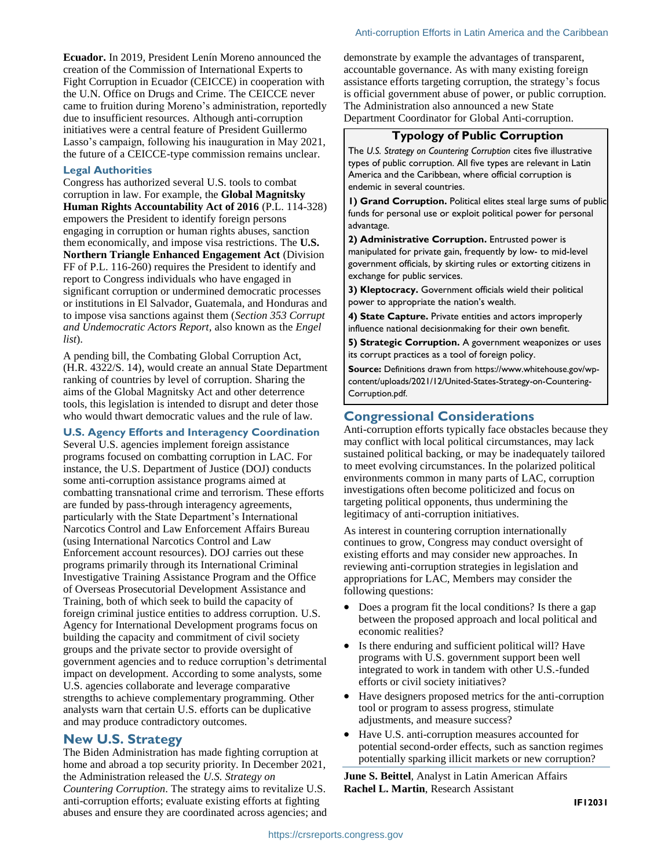**Ecuador.** In 2019, President Lenín Moreno announced the creation of the Commission of International Experts to Fight Corruption in Ecuador (CEICCE) in cooperation with the U.N. Office on Drugs and Crime. The CEICCE never came to fruition during Moreno's administration, reportedly due to insufficient resources. Although anti-corruption initiatives were a central feature of President Guillermo Lasso's campaign, following his inauguration in May 2021, the future of a CEICCE-type commission remains unclear.

#### **Legal Authorities**

Congress has authorized several U.S. tools to combat corruption in law. For example, the **Global Magnitsky Human Rights Accountability Act of 2016** (P.L. 114-328) empowers the President to identify foreign persons engaging in corruption or human rights abuses, sanction them economically, and impose visa restrictions. The **U.S. Northern Triangle Enhanced Engagement Act** (Division FF of P.L. 116-260) requires the President to identify and report to Congress individuals who have engaged in significant corruption or undermined democratic processes or institutions in El Salvador, Guatemala, and Honduras and to impose visa sanctions against them (*Section 353 Corrupt and Undemocratic Actors Report,* also known as the *Engel list*).

A pending bill, the Combating Global Corruption Act, (H.R. 4322/S. 14), would create an annual State Department ranking of countries by level of corruption. Sharing the aims of the Global Magnitsky Act and other deterrence tools, this legislation is intended to disrupt and deter those who would thwart democratic values and the rule of law.

**U.S. Agency Efforts and Interagency Coordination**

Several U.S. agencies implement foreign assistance programs focused on combatting corruption in LAC. For instance, the U.S. Department of Justice (DOJ) conducts some anti-corruption assistance programs aimed at combatting transnational crime and terrorism. These efforts are funded by pass-through interagency agreements, particularly with the State Department's International Narcotics Control and Law Enforcement Affairs Bureau (using International Narcotics Control and Law Enforcement account resources). DOJ carries out these programs primarily through its International Criminal Investigative Training Assistance Program and the Office of Overseas Prosecutorial Development Assistance and Training, both of which seek to build the capacity of foreign criminal justice entities to address corruption. U.S. Agency for International Development programs focus on building the capacity and commitment of civil society groups and the private sector to provide oversight of government agencies and to reduce corruption's detrimental impact on development. According to some analysts, some U.S. agencies collaborate and leverage comparative strengths to achieve complementary programming. Other analysts warn that certain U.S. efforts can be duplicative and may produce contradictory outcomes.

### **New U.S. Strategy**

The Biden Administration has made fighting corruption at home and abroad a top security priority. In December 2021, the Administration released the *U.S. Strategy on Countering Corruption*. The strategy aims to revitalize U.S. anti-corruption efforts; evaluate existing efforts at fighting abuses and ensure they are coordinated across agencies; and demonstrate by example the advantages of transparent, accountable governance. As with many existing foreign assistance efforts targeting corruption, the strategy's focus is official government abuse of power, or public corruption. The Administration also announced a new State Department Coordinator for Global Anti-corruption.

#### **Typology of Public Corruption**

The *U.S. Strategy on Countering Corruption* cites five illustrative types of public corruption. All five types are relevant in Latin America and the Caribbean, where official corruption is endemic in several countries.

**1) Grand Corruption.** Political elites steal large sums of public funds for personal use or exploit political power for personal advantage.

**2) Administrative Corruption.** Entrusted power is manipulated for private gain, frequently by low- to mid-level government officials, by skirting rules or extorting citizens in exchange for public services.

**3) Kleptocracy.** Government officials wield their political power to appropriate the nation's wealth.

**4) State Capture.** Private entities and actors improperly influence national decisionmaking for their own benefit.

**5) Strategic Corruption.** A government weaponizes or uses its corrupt practices as a tool of foreign policy.

**Source:** Definitions drawn from https://www.whitehouse.gov/wpcontent/uploads/2021/12/United-States-Strategy-on-Countering-Corruption.pdf.

## **Congressional Considerations**

Anti-corruption efforts typically face obstacles because they may conflict with local political circumstances, may lack sustained political backing, or may be inadequately tailored to meet evolving circumstances. In the polarized political environments common in many parts of LAC, corruption investigations often become politicized and focus on targeting political opponents, thus undermining the legitimacy of anti-corruption initiatives.

As interest in countering corruption internationally continues to grow, Congress may conduct oversight of existing efforts and may consider new approaches. In reviewing anti-corruption strategies in legislation and appropriations for LAC, Members may consider the following questions:

- Does a program fit the local conditions? Is there a gap between the proposed approach and local political and economic realities?
- Is there enduring and sufficient political will? Have programs with U.S. government support been well integrated to work in tandem with other U.S.-funded efforts or civil society initiatives?
- Have designers proposed metrics for the anti-corruption tool or program to assess progress, stimulate adjustments, and measure success?
- Have U.S. anti-corruption measures accounted for potential second-order effects, such as sanction regimes potentially sparking illicit markets or new corruption?

**June S. Beittel**, Analyst in Latin American Affairs **Rachel L. Martin**, Research Assistant